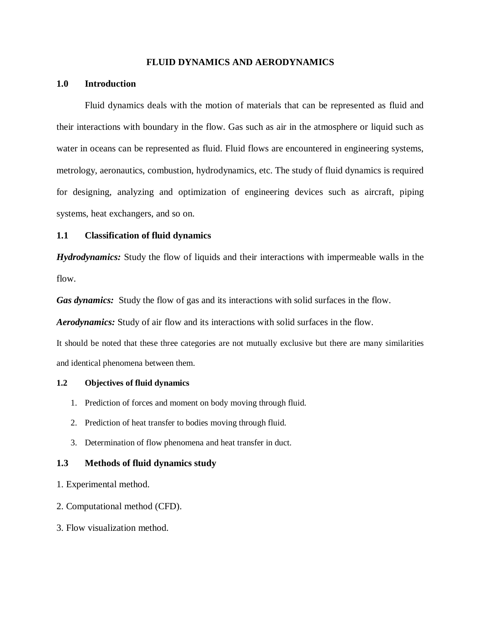### **FLUID DYNAMICS AND AERODYNAMICS**

### **1.0 Introduction**

Fluid dynamics deals with the motion of materials that can be represented as fluid and their interactions with boundary in the flow. Gas such as air in the atmosphere or liquid such as water in oceans can be represented as fluid. Fluid flows are encountered in engineering systems, metrology, aeronautics, combustion, hydrodynamics, etc. The study of fluid dynamics is required for designing, analyzing and optimization of engineering devices such as aircraft, piping systems, heat exchangers, and so on.

## **1.1 Classification of fluid dynamics**

*Hydrodynamics:* Study the flow of liquids and their interactions with impermeable walls in the flow.

*Gas dynamics:* Study the flow of gas and its interactions with solid surfaces in the flow.

*Aerodynamics:* Study of air flow and its interactions with solid surfaces in the flow.

It should be noted that these three categories are not mutually exclusive but there are many similarities and identical phenomena between them.

#### **1.2 Objectives of fluid dynamics**

- 1. Prediction of forces and moment on body moving through fluid.
- 2. Prediction of heat transfer to bodies moving through fluid.
- 3. Determination of flow phenomena and heat transfer in duct.

## **1.3 Methods of fluid dynamics study**

- 1. Experimental method.
- 2. Computational method (CFD).
- 3. Flow visualization method.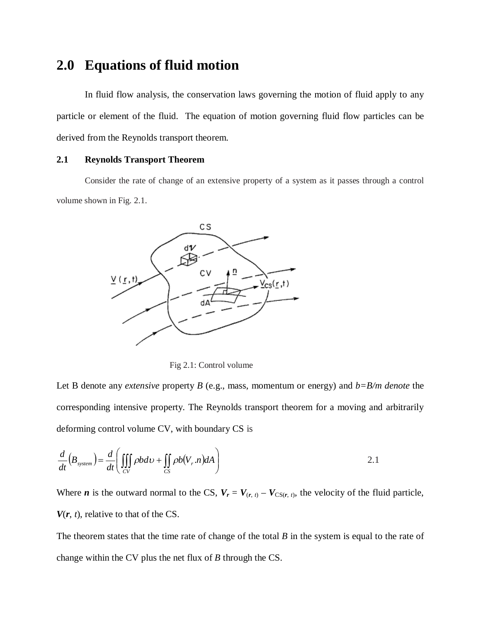# **2.0 Equations of fluid motion**

In fluid flow analysis, the conservation laws governing the motion of fluid apply to any particle or element of the fluid. The equation of motion governing fluid flow particles can be derived from the Reynolds transport theorem.

## **2.1 Reynolds Transport Theorem**

Consider the rate of change of an extensive property of a system as it passes through a control volume shown in Fig. 2.1.



Fig 2.1: Control volume

Let B denote any *extensive* property *B* (e.g., mass, momentum or energy) and *b=B/m denote* the corresponding intensive property. The Reynolds transport theorem for a moving and arbitrarily deforming control volume CV, with boundary CS is

$$
\frac{d}{dt}\left(B_{system}\right) = \frac{d}{dt}\left(\iiint\limits_{CV} \rho b \, d\upsilon + \iint\limits_{CS} \rho b \left(V_r.n\right) dA\right) \tag{2.1}
$$

Where *n* is the outward normal to the CS,  $V_r = V_{(r, t)} - V_{CS(r, t)}$ , the velocity of the fluid particle,  $V(r, t)$ , relative to that of the CS.

The theorem states that the time rate of change of the total *B* in the system is equal to the rate of change within the CV plus the net flux of *B* through the CS.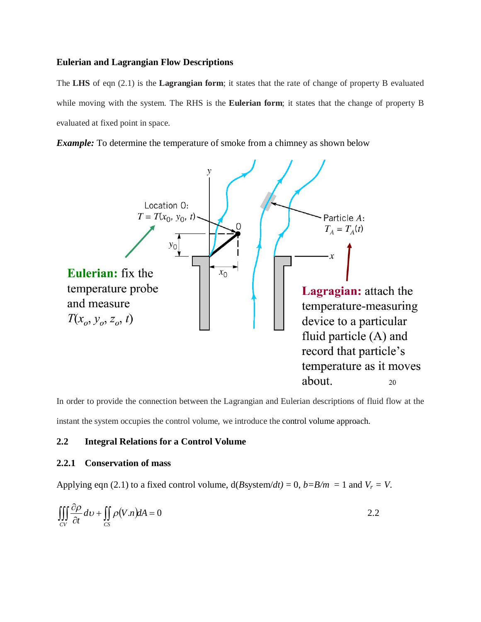### **Eulerian and Lagrangian Flow Descriptions**

The **LHS** of eqn (2.1) is the **Lagrangian form**; it states that the rate of change of property B evaluated while moving with the system. The RHS is the **Eulerian form**; it states that the change of property B evaluated at fixed point in space.

*Example:* To determine the temperature of smoke from a chimney as shown below



In order to provide the connection between the Lagrangian and Eulerian descriptions of fluid flow at the instant the system occupies the control volume, we introduce the control volume approach.

## **2.2 Integral Relations for a Control Volume**

## **2.2.1 Conservation of mass**

Applying eqn (2.1) to a fixed control volume,  $d(B\text{system}/dt) = 0$ ,  $b = B/m = 1$  and  $V_r = V$ .

$$
\iiint\limits_{CV} \frac{\partial \rho}{\partial t} dv + \iint\limits_{CS} \rho (V.n) dA = 0
$$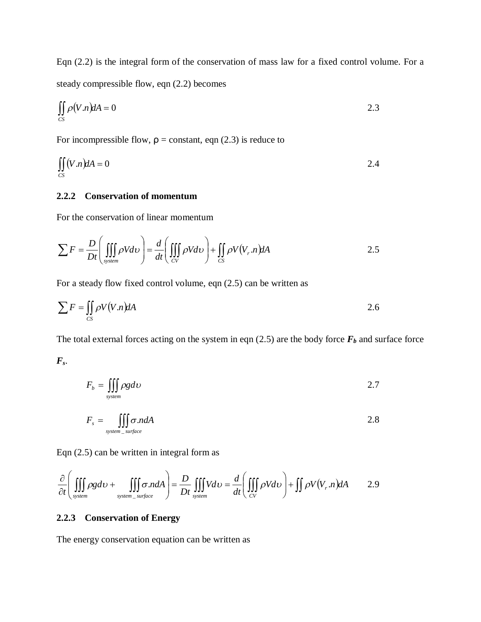Eqn (2.2) is the integral form of the conservation of mass law for a fixed control volume. For a steady compressible flow, eqn (2.2) becomes

$$
\iint\limits_{CS} \rho(V.n) dA = 0
$$

For incompressible flow,  $\rho$  = constant, eqn (2.3) is reduce to

$$
\iint\limits_{CS} (V.n)dA = 0
$$

## **2.2.2 Conservation of momentum**

For the conservation of linear momentum

$$
\sum F = \frac{D}{Dt} \left( \iiint\limits_{system} \rho V d\upsilon \right) = \frac{d}{dt} \left( \iiint\limits_{CV} \rho V d\upsilon \right) + \iint\limits_{CS} \rho V(V_r.n) dA \tag{2.5}
$$

For a steady flow fixed control volume, eqn (2.5) can be written as

$$
\sum F = \iint_{CS} \rho V(V.n) dA
$$

The total external forces acting on the system in eqn  $(2.5)$  are the body force  $F_b$  and surface force

*Fs*.

$$
F_b = \iiint\limits_{\text{system}} \rho \, g \, d\upsilon \tag{2.7}
$$

$$
F_s = \iiint\limits_{system\_surface} \sigma .ndA \tag{2.8}
$$

Eqn (2.5) can be written in integral form as

$$
\frac{\partial}{\partial t} \left( \iiint\limits_{system} \rho g d\upsilon + \iiint\limits_{system\_surface} \sigma .ndA \right) = \frac{D}{Dt} \iiint\limits_{system} V d\upsilon = \frac{d}{dt} \left( \iiint\limits_{CV} \rho V d\upsilon \right) + \iint\limits_{PV} \rho V(V_r.n) dA \qquad 2.9
$$

## **2.2.3 Conservation of Energy**

The energy conservation equation can be written as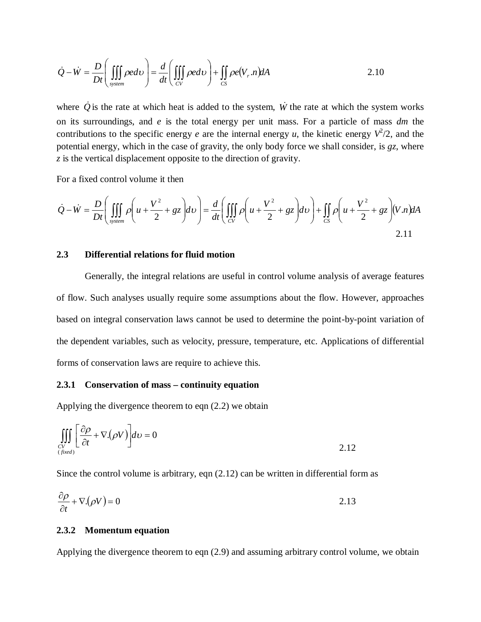$$
\dot{Q} - \dot{W} = \frac{D}{Dt} \left( \iiint\limits_{system} \rho e dV \right) = \frac{d}{dt} \left( \iiint\limits_{CV} \rho e dV \right) + \iint\limits_{CS} \rho e(V_r.n) dA \tag{2.10}
$$

where  $\dot{Q}$  is the rate at which heat is added to the system,  $\dot{W}$  the rate at which the system works on its surroundings, and *e* is the total energy per unit mass. For a particle of mass *dm* the contributions to the specific energy *e* are the internal energy *u*, the kinetic energy  $V^2/2$ , and the potential energy, which in the case of gravity, the only body force we shall consider, is *gz*, where *z* is the vertical displacement opposite to the direction of gravity.

For a fixed control volume it then

$$
\dot{Q} - \dot{W} = \frac{D}{Dt} \left( \iiint\limits_{system} \rho \left( u + \frac{V^2}{2} + gz \right) dv \right) = \frac{d}{dt} \left( \iiint\limits_{CV} \rho \left( u + \frac{V^2}{2} + gz \right) dv \right) + \iint\limits_{CS} \rho \left( u + \frac{V^2}{2} + gz \right) (V.n) dA
$$
\n
$$
2.11
$$

### **2.3 Differential relations for fluid motion**

Generally, the integral relations are useful in control volume analysis of average features of flow. Such analyses usually require some assumptions about the flow. However, approaches based on integral conservation laws cannot be used to determine the point-by-point variation of the dependent variables, such as velocity, pressure, temperature, etc. Applications of differential forms of conservation laws are require to achieve this.

## **2.3.1 Conservation of mass – continuity equation**

Applying the divergence theorem to eqn (2.2) we obtain

$$
\iiint\limits_{\substack{CV\\(fixed)}} \left[ \frac{\partial \rho}{\partial t} + \nabla \cdot (\rho V) \right] dv = 0
$$

Since the control volume is arbitrary, eqn (2.12) can be written in differential form as

$$
\frac{\partial \rho}{\partial t} + \nabla \left( \rho V \right) = 0 \tag{2.13}
$$

### **2.3.2 Momentum equation**

Applying the divergence theorem to eqn (2.9) and assuming arbitrary control volume, we obtain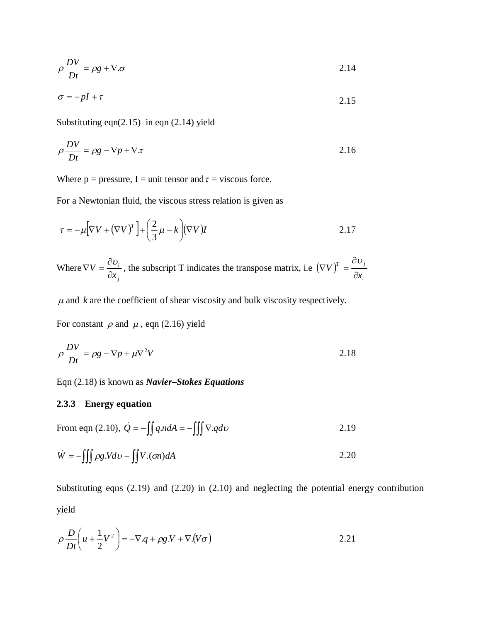$$
\rho \frac{DV}{Dt} = \rho g + \nabla \cdot \sigma \tag{2.14}
$$

$$
\sigma = -pI + \tau \tag{2.15}
$$

Substituting eqn $(2.15)$  in eqn  $(2.14)$  yield

$$
\rho \frac{DV}{Dt} = \rho g - \nabla p + \nabla \cdot \tau \tag{2.16}
$$

Where  $p = pressure$ , I = unit tensor and  $\tau = viscous$  force.

For a Newtonian fluid, the viscous stress relation is given as

$$
\tau = -\mu \Big[ \nabla V + (\nabla V)^T \Big] + \left( \frac{2}{3} \mu - k \right) (\nabla V) I
$$

Where *j i x V*  $\partial$  $\nabla V = \frac{\partial v_i}{\partial r^2}$ , the subscript T indicates the transpose matrix, i.e.  $(\nabla V)^T$ *i*  $T \quad \circ \nu_j$ *x V*  $\partial$  $\partial$  $(\nabla V)^{T} = \frac{\partial U}{\partial x}$ 

 $\mu$  and  $k$  are the coefficient of shear viscosity and bulk viscosity respectively.

For constant  $\rho$  and  $\mu$ , eqn (2.16) yield

$$
\rho \frac{DV}{Dt} = \rho g - \nabla p + \mu \nabla^2 V \tag{2.18}
$$

Eqn (2.18) is known as *Navier–Stokes Equations*

### **2.3.3 Energy equation**

From eqn (2.10), 
$$
\dot{Q} = -\iint q \cdot ndA = -\iiint \nabla \cdot q d\upsilon
$$
 2.19

$$
\dot{W} = -\iiint \rho g.Vd\upsilon - \iint V.(\sigma n)dA \tag{2.20}
$$

Substituting eqns (2.19) and (2.20) in (2.10) and neglecting the potential energy contribution yield

$$
\rho \frac{D}{Dt} \left( u + \frac{1}{2} V^2 \right) = -\nabla . q + \rho g . V + \nabla . (V \sigma) \tag{2.21}
$$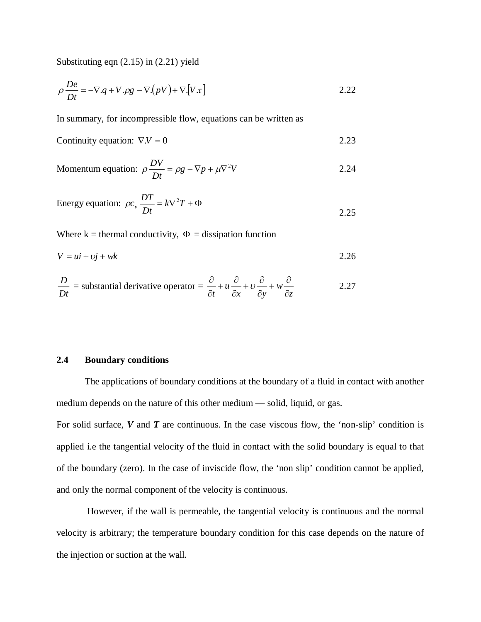Substituting eqn (2.15) in (2.21) yield

$$
\rho \frac{De}{Dt} = -\nabla.q + V.\rho g - \nabla.(pV) + \nabla.[V.\tau]
$$
\n(2.22)

In summary, for incompressible flow, equations can be written as

Continuity equation: 
$$
\nabla \cdot \mathbf{V} = 0
$$
 2.23

$$
Momentum equation: \ \rho \frac{DV}{Dt} = \rho g - \nabla p + \mu \nabla^2 V \tag{2.24}
$$

Energy equation: 
$$
\rho c_v \frac{DT}{Dt} = k\nabla^2 T + \Phi
$$
 2.25

Where  $k =$  thermal conductivity,  $\Phi =$  dissipation function

$$
V = ui + cj + wk \tag{2.26}
$$

$$
\frac{D}{Dt} = \text{substantial derivative operator} = \frac{\partial}{\partial t} + u \frac{\partial}{\partial x} + v \frac{\partial}{\partial y} + w \frac{\partial}{\partial z}
$$
 (2.27)

### **2.4 Boundary conditions**

The applications of boundary conditions at the boundary of a fluid in contact with another medium depends on the nature of this other medium — solid, liquid, or gas.

For solid surface, *V* and *T* are continuous. In the case viscous flow, the 'non-slip' condition is applied i.e the tangential velocity of the fluid in contact with the solid boundary is equal to that of the boundary (zero). In the case of inviscide flow, the 'non slip' condition cannot be applied, and only the normal component of the velocity is continuous.

However, if the wall is permeable, the tangential velocity is continuous and the normal velocity is arbitrary; the temperature boundary condition for this case depends on the nature of the injection or suction at the wall.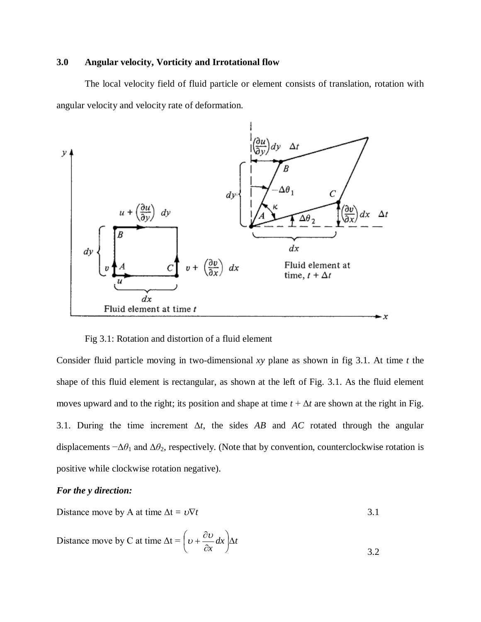## **3.0 Angular velocity, Vorticity and Irrotational flow**

The local velocity field of fluid particle or element consists of translation, rotation with angular velocity and velocity rate of deformation.



Fig 3.1: Rotation and distortion of a fluid element

Consider fluid particle moving in two-dimensional *xy* plane as shown in fig 3.1. At time *t* the shape of this fluid element is rectangular, as shown at the left of Fig. 3.1. As the fluid element moves upward and to the right; its position and shape at time  $t + \Delta t$  are shown at the right in Fig. 3.1. During the time increment  $\Delta t$ , the sides  $AB$  and  $AC$  rotated through the angular displacements  $-\Delta\theta_1$  and  $\Delta\theta_2$ , respectively. (Note that by convention, counterclockwise rotation is positive while clockwise rotation negative).

## *For the y direction:*

Distance move by A at time  $\Delta t = v \nabla t$  3.1

Distance move by C at time 
$$
\Delta t = \left(\upsilon + \frac{\partial \upsilon}{\partial x} dx\right) \Delta t
$$
 3.2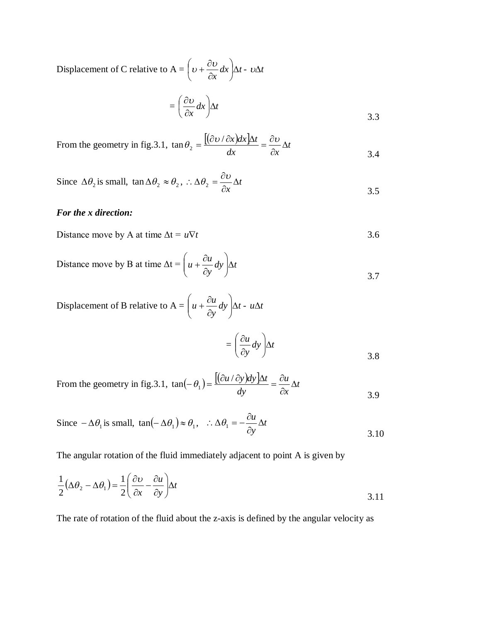Displacement of C relative to A =  $\frac{\partial u}{\partial x} dx$   $\Delta t$ *x*  $|\Delta$ J  $\left(\nu+\frac{\partial \nu}{\partial x}dx\right)$  $\setminus$ ſ  $\partial$  $v + \frac{\partial v}{\partial x} dx$   $\Delta t - v \Delta t$ 

$$
= \left(\frac{\partial v}{\partial x}dx\right)\Delta t \tag{3.3}
$$

From the geometry in fig.3.1, 
$$
\tan \theta_2 = \frac{[(\partial v / \partial x)dx]\Delta t}{dx} = \frac{\partial v}{\partial x} \Delta t
$$
 3.4

Since 
$$
\Delta \theta_2
$$
 is small,  $\tan \Delta \theta_2 \approx \theta_2$ ,  $\therefore \Delta \theta_2 = \frac{\partial v}{\partial x} \Delta t$  3.5

## *For the x direction:*

Distance move by A at time 
$$
\Delta t = u \nabla t
$$
 3.6

Distance move by B at time  $\Delta t = u + \frac{\partial u}{\partial x} dy$   $\Delta t$ *y*  $u + \frac{\partial u}{\partial y} dy$   $\Delta$  $\bigg)$  $\mathcal{L}_{\mathcal{L}}$  $\overline{\phantom{a}}$  $\setminus$ ſ  $\partial$  $+\frac{\partial}{\partial}$ 3.7

Displacement of B relative to A = 
$$
\left(u + \frac{\partial u}{\partial y} dy\right) \Delta t - u \Delta t
$$

$$
= \left(\frac{\partial u}{\partial y}dy\right)\Delta t
$$

From the geometry in fig.3.1, 
$$
\tan(-\theta_1) = \frac{[(\partial u/\partial y)dy]\Delta t}{dy} = \frac{\partial u}{\partial x} \Delta t
$$

Since 
$$
-\Delta \theta_1
$$
 is small,  $\tan(-\Delta \theta_1) \approx \theta_1$ ,  $\therefore \Delta \theta_1 = -\frac{\partial u}{\partial y} \Delta t$  3.10

The angular rotation of the fluid immediately adjacent to point A is given by

$$
\frac{1}{2}(\Delta \theta_2 - \Delta \theta_1) = \frac{1}{2} \left( \frac{\partial v}{\partial x} - \frac{\partial u}{\partial y} \right) \Delta t
$$
\n(3.11)

The rate of rotation of the fluid about the z-axis is defined by the angular velocity as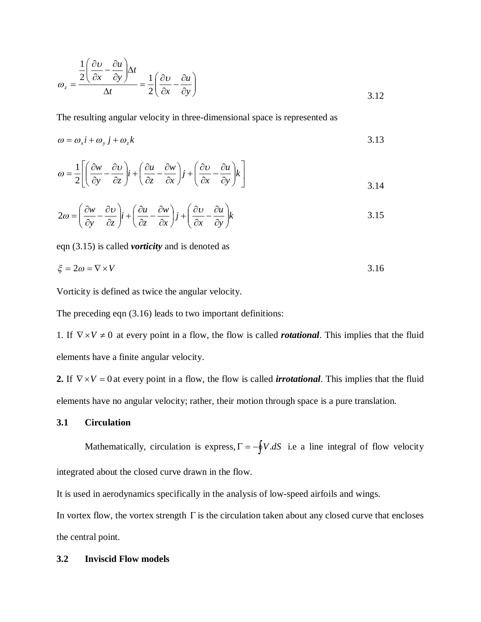$$
\omega_z = \frac{\frac{1}{2} \left( \frac{\partial v}{\partial x} - \frac{\partial u}{\partial y} \right) \Delta t}{\Delta t} = \frac{1}{2} \left( \frac{\partial v}{\partial x} - \frac{\partial u}{\partial y} \right)
$$
\n3.12

The resulting angular velocity in three-dimensional space is represented as

$$
\omega = \omega_x i + \omega_y j + \omega_z k \tag{3.13}
$$

$$
\omega = \frac{1}{2} \left[ \left( \frac{\partial w}{\partial y} - \frac{\partial v}{\partial z} \right) i + \left( \frac{\partial u}{\partial z} - \frac{\partial w}{\partial x} \right) j + \left( \frac{\partial v}{\partial x} - \frac{\partial u}{\partial y} \right) k \right]
$$
3.14

$$
2\omega = \left(\frac{\partial w}{\partial y} - \frac{\partial v}{\partial z}\right)\mathbf{i} + \left(\frac{\partial u}{\partial z} - \frac{\partial w}{\partial x}\right)\mathbf{j} + \left(\frac{\partial v}{\partial x} - \frac{\partial u}{\partial y}\right)\mathbf{k}
$$
3.15

eqn (3.15) is called *vorticity* and is denoted as

$$
\xi = 2\omega = \nabla \times V \tag{3.16}
$$

Vorticity is defined as twice the angular velocity.

The preceding eqn (3.16) leads to two important definitions:

1. If  $\nabla \times V \neq 0$  at every point in a flow, the flow is called *rotational*. This implies that the fluid elements have a finite angular velocity.

**2.** If  $\nabla \times V = 0$  at every point in a flow, the flow is called *irrotational*. This implies that the fluid elements have no angular velocity; rather, their motion through space is a pure translation.

#### **3.1 Circulation**

Mathematically, circulation is express,  $\Gamma = -\oint V \, dS$  i.e a line integral of flow velocity integrated about the closed curve drawn in the flow.

It is used in aerodynamics specifically in the analysis of low-speed airfoils and wings.

In vortex flow, the vortex strength  $\Gamma$  is the circulation taken about any closed curve that encloses the central point.

### **3.2 Inviscid Flow models**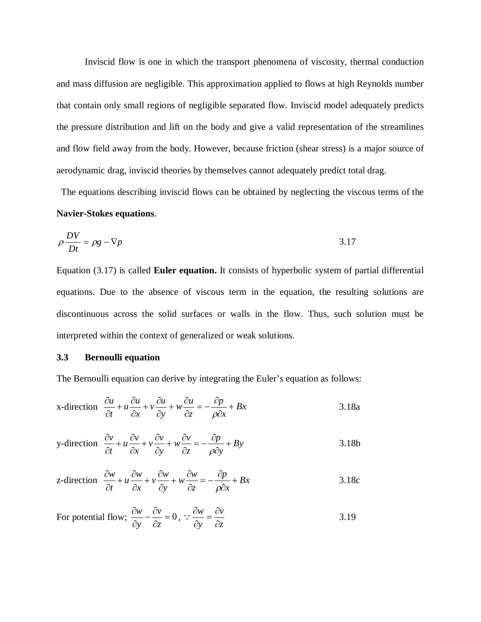Inviscid flow is one in which the transport phenomena of viscosity, thermal conduction and mass diffusion are negligible. This approximation applied to flows at high Reynolds number that contain only small regions of negligible separated flow. Inviscid model adequately predicts the pressure distribution and lift on the body and give a valid representation of the streamlines and flow field away from the body. However, because friction (shear stress) is a major source of aerodynamic drag, inviscid theories by themselves cannot adequately predict total drag.

 The equations describing inviscid flows can be obtained by neglecting the viscous terms of the **Navier-Stokes equations**.

$$
\rho \frac{DV}{Dt} = \rho g - \nabla p \tag{3.17}
$$

Equation (3.17) is called **Euler equation.** It consists of hyperbolic system of partial differential equations. Due to the absence of viscous term in the equation, the resulting solutions are discontinuous across the solid surfaces or walls in the flow. Thus, such solution must be interpreted within the context of generalized or weak solutions.

### **3.3 Bernoulli equation**

The Bernoulli equation can derive by integrating the Euler's equation as follows:

x-direction 
$$
\frac{\partial u}{\partial t} + u \frac{\partial u}{\partial x} + v \frac{\partial u}{\partial y} + w \frac{\partial u}{\partial z} = -\frac{\partial p}{\rho \partial x} + Bx
$$
 3.18a

y-direction 
$$
\frac{\partial v}{\partial t} + u \frac{\partial v}{\partial x} + v \frac{\partial v}{\partial y} + w \frac{\partial v}{\partial z} = -\frac{\partial p}{\rho \partial y} + By
$$
 3.18b

z-direction 
$$
\frac{\partial w}{\partial t} + u \frac{\partial w}{\partial x} + v \frac{\partial w}{\partial y} + w \frac{\partial w}{\partial z} = -\frac{\partial p}{\rho \partial x} + Bx
$$
 3.18c

For potential flow; 
$$
\frac{\partial w}{\partial y} - \frac{\partial v}{\partial z} = 0
$$
,  $\therefore \frac{\partial w}{\partial y} = \frac{\partial v}{\partial z}$  3.19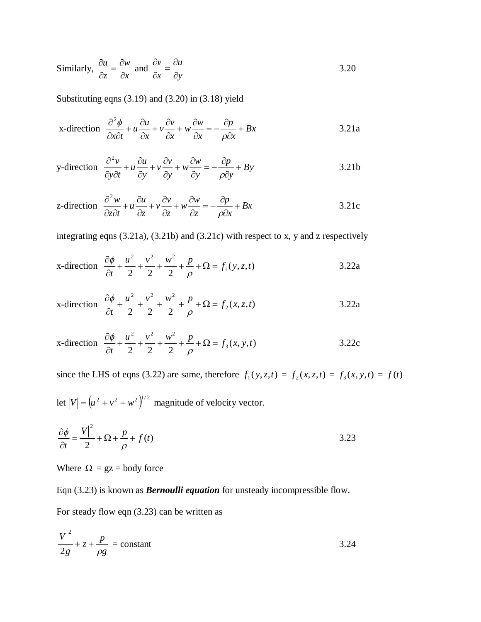Similarly, 
$$
\frac{\partial u}{\partial z} = \frac{\partial w}{\partial x}
$$
 and  $\frac{\partial v}{\partial x} = \frac{\partial u}{\partial y}$  3.20

Substituting eqns (3.19) and (3.20) in (3.18) yield

x-direction 
$$
\frac{\partial^2 \phi}{\partial x \partial t} + u \frac{\partial u}{\partial x} + v \frac{\partial v}{\partial x} + w \frac{\partial w}{\partial x} = -\frac{\partial p}{\partial \partial x} + Bx
$$
 3.21a

y-direction 
$$
\frac{\partial^2 v}{\partial y \partial t} + u \frac{\partial u}{\partial y} + v \frac{\partial v}{\partial y} + w \frac{\partial w}{\partial y} = -\frac{\partial p}{\rho \partial y} + By
$$
 3.21b

z-direction 
$$
\frac{\partial^2 w}{\partial z \partial t} + u \frac{\partial u}{\partial z} + v \frac{\partial v}{\partial z} + w \frac{\partial w}{\partial z} = -\frac{\partial p}{\partial x} + Bx
$$
 3.21c

integrating eqns (3.21a), (3.21b) and (3.21c) with respect to x, y and z respectively

x-direction 
$$
\frac{\partial \phi}{\partial t} + \frac{u^2}{2} + \frac{v^2}{2} + \frac{w^2}{2} + \frac{p}{\rho} + \Omega = f_1(y, z, t)
$$
 3.22a

x-direction 
$$
\frac{\partial \phi}{\partial t} + \frac{u^2}{2} + \frac{v^2}{2} + \frac{w^2}{2} + \frac{p}{\rho} + \Omega = f_2(x, z, t)
$$
 3.22a

x-direction 
$$
\frac{\partial \phi}{\partial t} + \frac{u^2}{2} + \frac{v^2}{2} + \frac{w^2}{2} + \frac{p}{\rho} + \Omega = f_3(x, y, t)
$$
 3.22c

since the LHS of eqns (3.22) are same, therefore  $f_1(y, z, t) = f_2(x, z, t) = f_3(x, y, t) = f(t)$ 

let  $|V| = (u^2 + v^2 + w^2)^{1/2}$  magnitude of velocity vector.

$$
\frac{\partial \phi}{\partial t} = \frac{|V|^2}{2} + \Omega + \frac{p}{\rho} + f(t)
$$

Where  $\Omega = gz = body$  force

Eqn (3.23) is known as *Bernoulli equation* for unsteady incompressible flow.

For steady flow eqn (3.23) can be written as

$$
\frac{|V|^2}{2g} + z + \frac{p}{\rho g} = \text{constant}
$$
 3.24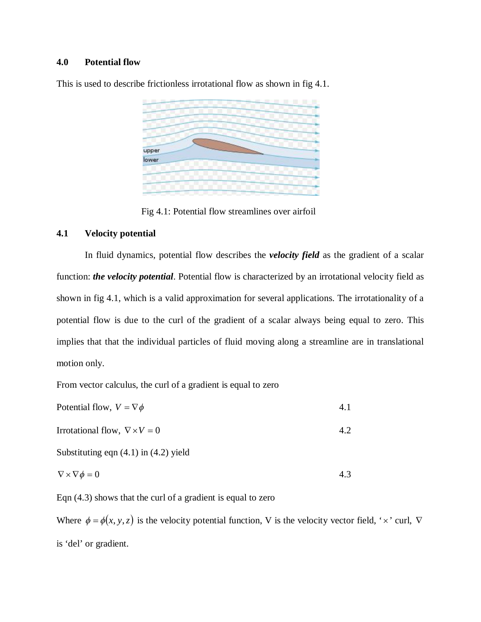## **4.0 Potential flow**

This is used to describe frictionless irrotational flow as shown in fig 4.1.



Fig 4.1: Potential flow streamlines over airfoil

### **4.1 Velocity potential**

In fluid dynamics, potential flow describes the *velocity field* as the gradient of a scalar function: *the velocity potential*. Potential flow is characterized by an irrotational velocity field as shown in fig 4.1, which is a valid approximation for several applications. The irrotationality of a potential flow is due to the curl of the gradient of a scalar always being equal to zero. This implies that that the individual particles of fluid moving along a streamline are in translational motion only.

From vector calculus, the curl of a gradient is equal to zero

| Potential flow, $V = \nabla \phi$         | 4.1 |
|-------------------------------------------|-----|
| Irrotational flow, $\nabla \times V = 0$  | 4.2 |
| Substituting eqn $(4.1)$ in $(4.2)$ yield |     |
| $\nabla \times \nabla \phi = 0$           | 43  |

Eqn (4.3) shows that the curl of a gradient is equal to zero

Where  $\phi = \phi(x, y, z)$  is the velocity potential function, V is the velocity vector field, 'x' curl,  $\nabla$ is 'del' or gradient.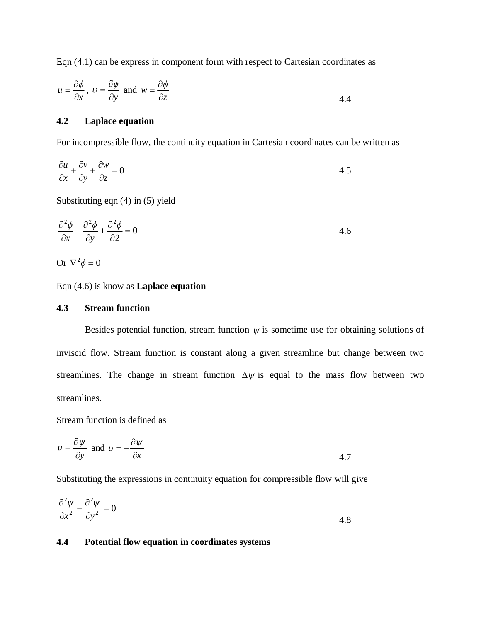Eqn (4.1) can be express in component form with respect to Cartesian coordinates as

$$
u = \frac{\partial \phi}{\partial x}, v = \frac{\partial \phi}{\partial y}
$$
 and  $w = \frac{\partial \phi}{\partial z}$  4.4

## **4.2 Laplace equation**

For incompressible flow, the continuity equation in Cartesian coordinates can be written as

$$
\frac{\partial u}{\partial x} + \frac{\partial v}{\partial y} + \frac{\partial w}{\partial z} = 0
$$

Substituting eqn (4) in (5) yield

$$
\frac{\partial^2 \phi}{\partial x} + \frac{\partial^2 \phi}{\partial y} + \frac{\partial^2 \phi}{\partial z} = 0
$$
 4.6

Or 
$$
\nabla^2 \phi = 0
$$

### Eqn (4.6) is know as **Laplace equation**

## **4.3 Stream function**

Besides potential function, stream function  $\psi$  is sometime use for obtaining solutions of inviscid flow. Stream function is constant along a given streamline but change between two streamlines. The change in stream function  $\Delta \psi$  is equal to the mass flow between two streamlines.

Stream function is defined as

$$
u = \frac{\partial \psi}{\partial y} \text{ and } v = -\frac{\partial \psi}{\partial x}
$$

Substituting the expressions in continuity equation for compressible flow will give

$$
\frac{\partial^2 \psi}{\partial x^2} - \frac{\partial^2 \psi}{\partial y^2} = 0
$$

## **4.4 Potential flow equation in coordinates systems**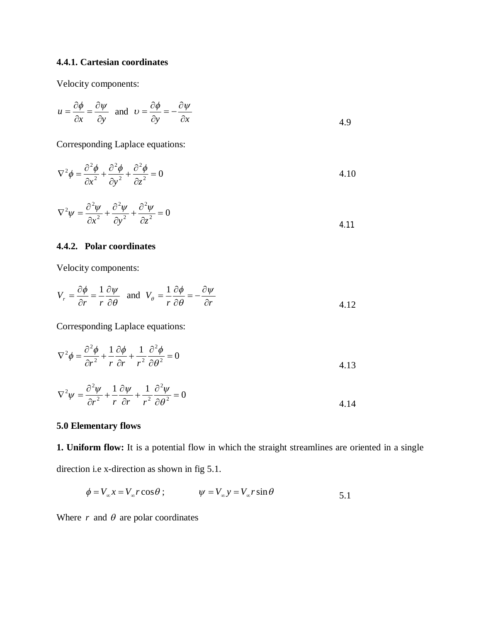# **4.4.1. Cartesian coordinates**

Velocity components:

$$
u = \frac{\partial \phi}{\partial x} = \frac{\partial \psi}{\partial y} \quad \text{and} \quad v = \frac{\partial \phi}{\partial y} = -\frac{\partial \psi}{\partial x}
$$

Corresponding Laplace equations:

$$
\nabla^2 \phi = \frac{\partial^2 \phi}{\partial x^2} + \frac{\partial^2 \phi}{\partial y^2} + \frac{\partial^2 \phi}{\partial z^2} = 0
$$

$$
\nabla^2 \psi = \frac{\partial^2 \psi}{\partial x^2} + \frac{\partial^2 \psi}{\partial y^2} + \frac{\partial^2 \psi}{\partial z^2} = 0
$$
\n4.11

## **4.4.2. Polar coordinates**

Velocity components:

$$
V_r = \frac{\partial \phi}{\partial r} = \frac{1}{r} \frac{\partial \psi}{\partial \theta} \quad \text{and} \quad V_\theta = \frac{1}{r} \frac{\partial \phi}{\partial \theta} = -\frac{\partial \psi}{\partial r}
$$

Corresponding Laplace equations:

$$
\nabla^2 \phi = \frac{\partial^2 \phi}{\partial r^2} + \frac{1}{r} \frac{\partial \phi}{\partial r} + \frac{1}{r^2} \frac{\partial^2 \phi}{\partial \theta^2} = 0
$$

$$
\nabla^2 \psi = \frac{\partial^2 \psi}{\partial r^2} + \frac{1}{r} \frac{\partial \psi}{\partial r} + \frac{1}{r^2} \frac{\partial^2 \psi}{\partial \theta^2} = 0
$$
 4.14

## **5.0 Elementary flows**

**1. Uniform flow:** It is a potential flow in which the straight streamlines are oriented in a single direction i.e x-direction as shown in fig 5.1.

$$
\phi = V_{\infty} x = V_{\infty} r \cos \theta ; \qquad \psi = V_{\infty} y = V_{\infty} r \sin \theta \qquad 5.1
$$

Where  $r$  and  $\theta$  are polar coordinates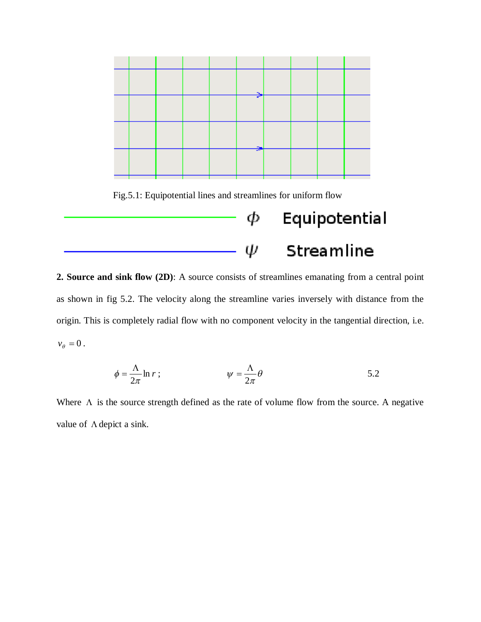

Fig.5.1: Equipotential lines and streamlines for uniform flow

# Φ Equipotential Streamline ψ

**2. Source and sink flow (2D)**: A source consists of streamlines emanating from a central point as shown in fig 5.2. The velocity along the streamline varies inversely with distance from the origin. This is completely radial flow with no component velocity in the tangential direction, i.e.  $v_{\theta} = 0$ .

$$
\phi = \frac{\Lambda}{2\pi} \ln r \; ; \qquad \qquad \psi = \frac{\Lambda}{2\pi} \theta \qquad \qquad 5.2
$$

Where  $\Lambda$  is the source strength defined as the rate of volume flow from the source. A negative value of  $\Lambda$  depict a sink.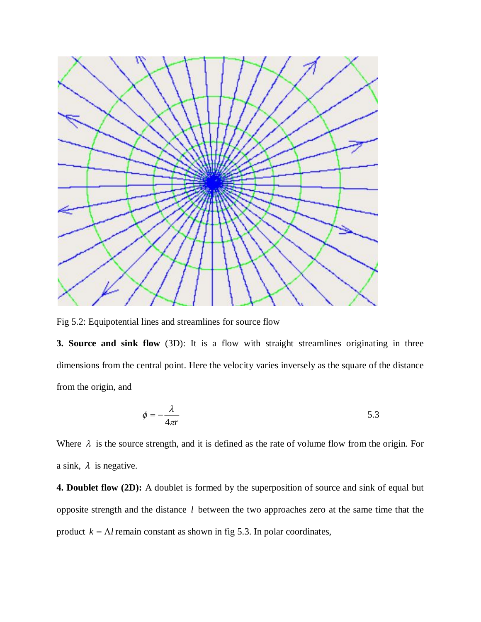

Fig 5.2: Equipotential lines and streamlines for source flow

**3. Source and sink flow** (3D): It is a flow with straight streamlines originating in three dimensions from the central point. Here the velocity varies inversely as the square of the distance from the origin, and

$$
\phi = -\frac{\lambda}{4\pi r} \tag{5.3}
$$

Where  $\lambda$  is the source strength, and it is defined as the rate of volume flow from the origin. For a sink,  $\lambda$  is negative.

**4. Doublet flow (2D):** A doublet is formed by the superposition of source and sink of equal but opposite strength and the distance *l* between the two approaches zero at the same time that the product  $k = \Lambda l$  remain constant as shown in fig 5.3. In polar coordinates,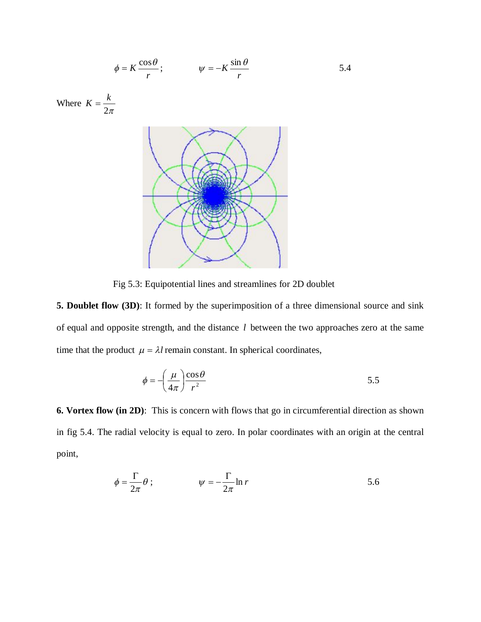$$
\phi = K \frac{\cos \theta}{r}; \qquad \psi = -K \frac{\sin \theta}{r}
$$

Where  $2\pi$  $K=\frac{k}{2}$ 



Fig 5.3: Equipotential lines and streamlines for 2D doublet

**5. Doublet flow (3D)**: It formed by the superimposition of a three dimensional source and sink of equal and opposite strength, and the distance *l* between the two approaches zero at the same time that the product  $\mu = \lambda l$  remain constant. In spherical coordinates,

$$
\phi = -\left(\frac{\mu}{4\pi}\right) \frac{\cos \theta}{r^2} \tag{5.5}
$$

**6. Vortex flow (in 2D)**: This is concern with flows that go in circumferential direction as shown in fig 5.4. The radial velocity is equal to zero. In polar coordinates with an origin at the central point,

$$
\phi = \frac{\Gamma}{2\pi} \theta ; \qquad \psi = -\frac{\Gamma}{2\pi} \ln r
$$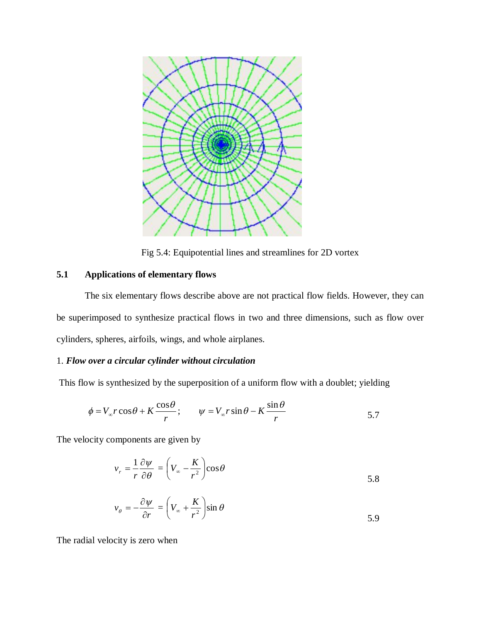

Fig 5.4: Equipotential lines and streamlines for 2D vortex

## **5.1 Applications of elementary flows**

The six elementary flows describe above are not practical flow fields. However, they can be superimposed to synthesize practical flows in two and three dimensions, such as flow over cylinders, spheres, airfoils, wings, and whole airplanes.

## 1. *Flow over a circular cylinder without circulation*

This flow is synthesized by the superposition of a uniform flow with a doublet; yielding

$$
\phi = V_{\infty} r \cos \theta + K \frac{\cos \theta}{r}; \qquad \psi = V_{\infty} r \sin \theta - K \frac{\sin \theta}{r}
$$

The velocity components are given by

$$
v_r = \frac{1}{r} \frac{\partial \psi}{\partial \theta} = \left(V_\infty - \frac{K}{r^2}\right) \cos \theta
$$

$$
v_{\theta} = -\frac{\partial \psi}{\partial r} = \left(V_{\infty} + \frac{K}{r^2}\right) \sin \theta
$$

The radial velocity is zero when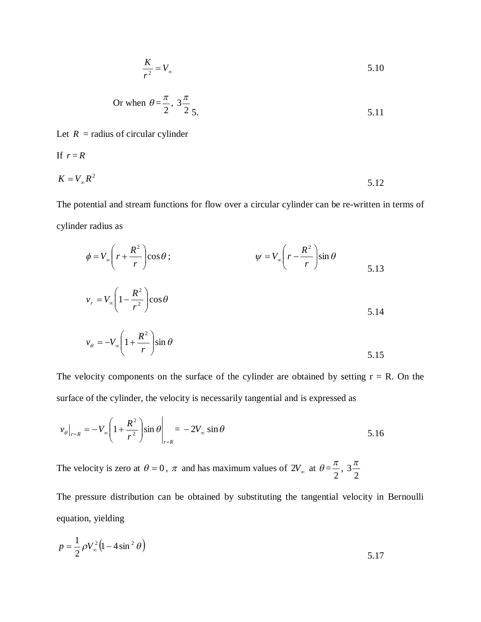$$
\frac{K}{r^2} = V_{\infty} \tag{5.10}
$$

Or when 
$$
\theta = \frac{\pi}{2}
$$
,  $3\frac{\pi}{2}$  5.11

Let  $R =$  radius of circular cylinder

If 
$$
r = R
$$
  
\n $K = V_{\infty} R^2$  5.12

The potential and stream functions for flow over a circular cylinder can be re-written in terms of cylinder radius as

$$
\phi = V_{\infty} \left( r + \frac{R^2}{r} \right) \cos \theta ; \qquad \psi = V_{\infty} \left( r - \frac{R^2}{r} \right) \sin \theta
$$
  

$$
v_r = V_{\infty} \left( 1 - \frac{R^2}{r^2} \right) \cos \theta
$$

$$
v_r = V_{\infty} \left( 1 - \frac{R}{r^2} \right) \cos \theta
$$

$$
v_{\theta} = -V_{\infty} \left( 1 + \frac{R^2}{r} \right) \sin \theta
$$
 5.15

The velocity components on the surface of the cylinder are obtained by setting  $r = R$ . On the surface of the cylinder, the velocity is necessarily tangential and is expressed as

$$
v_{\theta}|_{r=R} = -V_{\infty} \left( 1 + \frac{R^2}{r^2} \right) \sin \theta \Big|_{r=R} = -2V_{\infty} \sin \theta
$$
 5.16

The velocity is zero at  $\theta = 0$ ,  $\pi$  and has maximum values of  $2V_{\infty}$  at  $\theta =$ 2  $\frac{\pi}{2}$ , 2  $3\frac{\pi}{2}$ 

The pressure distribution can be obtained by substituting the tangential velocity in Bernoulli equation, yielding

$$
p = \frac{1}{2} \rho V_{\infty}^{2} (1 - 4 \sin^{2} \theta)
$$
 5.17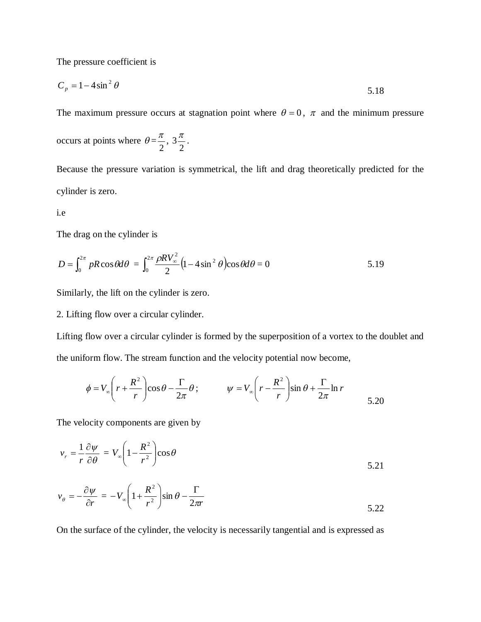The pressure coefficient is

$$
C_p = 1 - 4\sin^2\theta \tag{5.18}
$$

The maximum pressure occurs at stagnation point where  $\theta = 0$ ,  $\pi$  and the minimum pressure occurs at points where  $\theta =$ 2  $\frac{\pi}{2}$ , 2  $3\frac{\pi}{2}$ .

Because the pressure variation is symmetrical, the lift and drag theoretically predicted for the cylinder is zero.

### i.e

The drag on the cylinder is

$$
D = \int_0^{2\pi} pR\cos\theta d\theta = \int_0^{2\pi} \frac{\rho R V_\infty^2}{2} \left(1 - 4\sin^2\theta\right) \cos\theta d\theta = 0
$$
 5.19

Similarly, the lift on the cylinder is zero.

## 2. Lifting flow over a circular cylinder.

Lifting flow over a circular cylinder is formed by the superposition of a vortex to the doublet and the uniform flow. The stream function and the velocity potential now become,

$$
\phi = V_{\infty} \left( r + \frac{R^2}{r} \right) \cos \theta - \frac{\Gamma}{2\pi} \theta; \qquad \psi = V_{\infty} \left( r - \frac{R^2}{r} \right) \sin \theta + \frac{\Gamma}{2\pi} \ln r
$$

The velocity components are given by

$$
v_r = \frac{1}{r} \frac{\partial \psi}{\partial \theta} = V_{\infty} \left( 1 - \frac{R^2}{r^2} \right) \cos \theta
$$

$$
v_{\theta} = -\frac{\partial \psi}{\partial r} = -V_{\infty} \left( 1 + \frac{R^2}{r^2} \right) \sin \theta - \frac{\Gamma}{2\pi r}
$$

On the surface of the cylinder, the velocity is necessarily tangential and is expressed as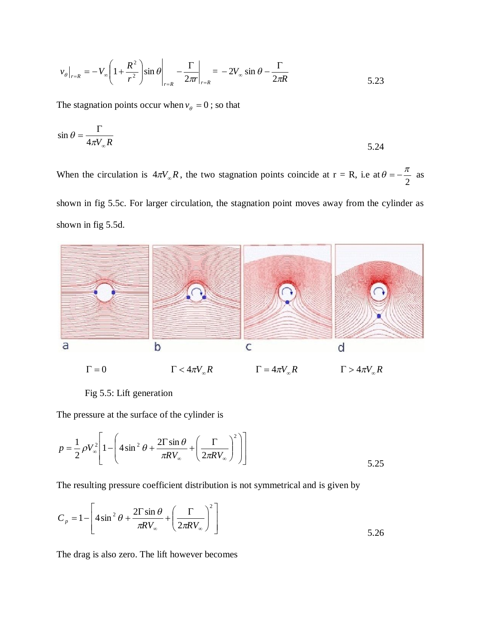$$
v_{\theta}\big|_{r=R} = -V_{\infty} \left(1 + \frac{R^2}{r^2}\right) \sin \theta \bigg|_{r=R} - \frac{\Gamma}{2\pi r}\bigg|_{r=R} = -2V_{\infty} \sin \theta - \frac{\Gamma}{2\pi R}
$$

The stagnation points occur when  $v_{\theta} = 0$ ; so that

$$
\sin \theta = \frac{\Gamma}{4\pi V_{\infty} R}
$$
5.24

When the circulation is  $4\pi V_{\infty}R$ , the two stagnation points coincide at  $r = R$ , i.e at  $\theta = -\frac{\pi}{2}$  $\theta = -\frac{\pi}{2}$  as shown in fig 5.5c. For larger circulation, the stagnation point moves away from the cylinder as shown in fig 5.5d.



Fig 5.5: Lift generation

The pressure at the surface of the cylinder is

$$
p = \frac{1}{2} \rho V_{\infty}^{2} \left[ 1 - \left( 4 \sin^{2} \theta + \frac{2 \Gamma \sin \theta}{\pi R V_{\infty}} + \left( \frac{\Gamma}{2 \pi R V_{\infty}} \right)^{2} \right) \right]
$$
 5.25

The resulting pressure coefficient distribution is not symmetrical and is given by

$$
C_p = 1 - \left[ 4 \sin^2 \theta + \frac{2 \Gamma \sin \theta}{\pi R V_{\infty}} + \left( \frac{\Gamma}{2 \pi R V_{\infty}} \right)^2 \right]
$$
 5.26

The drag is also zero. The lift however becomes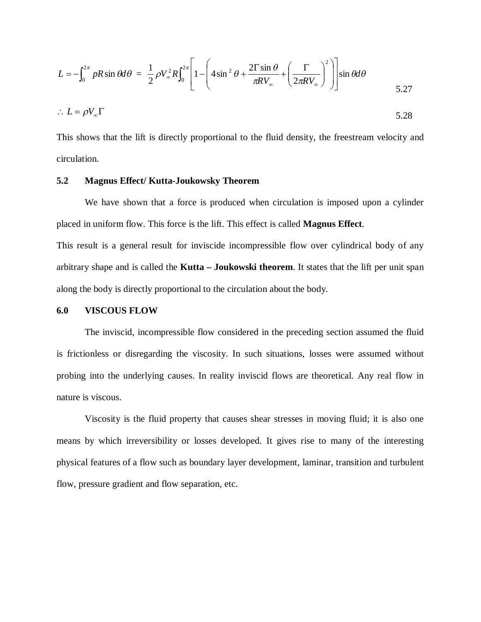$$
L = -\int_0^{2\pi} pR \sin \theta d\theta = \frac{1}{2} \rho V_{\infty}^2 R \int_0^{2\pi} \left[ 1 - \left( 4 \sin^2 \theta + \frac{2 \Gamma \sin \theta}{\pi R V_{\infty}} + \left( \frac{\Gamma}{2\pi R V_{\infty}} \right)^2 \right) \right] \sin \theta d\theta
$$
  
5.27  

$$
\therefore L = \rho V_{\infty} \Gamma
$$

This shows that the lift is directly proportional to the fluid density, the freestream velocity and circulation.

### **5.2 Magnus Effect/ Kutta-Joukowsky Theorem**

We have shown that a force is produced when circulation is imposed upon a cylinder placed in uniform flow. This force is the lift. This effect is called **Magnus Effect**.

This result is a general result for inviscide incompressible flow over cylindrical body of any arbitrary shape and is called the **Kutta – Joukowski theorem**. It states that the lift per unit span along the body is directly proportional to the circulation about the body.

### **6.0 VISCOUS FLOW**

The inviscid, incompressible flow considered in the preceding section assumed the fluid is frictionless or disregarding the viscosity. In such situations, losses were assumed without probing into the underlying causes. In reality inviscid flows are theoretical. Any real flow in nature is viscous.

Viscosity is the fluid property that causes shear stresses in moving fluid; it is also one means by which irreversibility or losses developed. It gives rise to many of the interesting physical features of a flow such as boundary layer development, laminar, transition and turbulent flow, pressure gradient and flow separation, etc.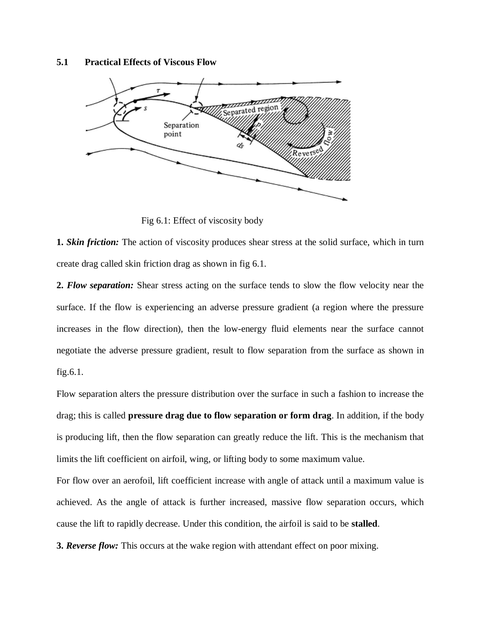### **5.1 Practical Effects of Viscous Flow**



Fig 6.1: Effect of viscosity body

**1.** *Skin friction:* The action of viscosity produces shear stress at the solid surface, which in turn create drag called skin friction drag as shown in fig 6.1.

**2.** *Flow separation:* Shear stress acting on the surface tends to slow the flow velocity near the surface. If the flow is experiencing an adverse pressure gradient (a region where the pressure increases in the flow direction), then the low-energy fluid elements near the surface cannot negotiate the adverse pressure gradient, result to flow separation from the surface as shown in fig.6.1.

Flow separation alters the pressure distribution over the surface in such a fashion to increase the drag; this is called **pressure drag due to flow separation or form drag**. In addition, if the body is producing lift, then the flow separation can greatly reduce the lift. This is the mechanism that limits the lift coefficient on airfoil, wing, or lifting body to some maximum value.

For flow over an aerofoil, lift coefficient increase with angle of attack until a maximum value is achieved. As the angle of attack is further increased, massive flow separation occurs, which cause the lift to rapidly decrease. Under this condition, the airfoil is said to be **stalled**.

**3.** *Reverse flow:* This occurs at the wake region with attendant effect on poor mixing.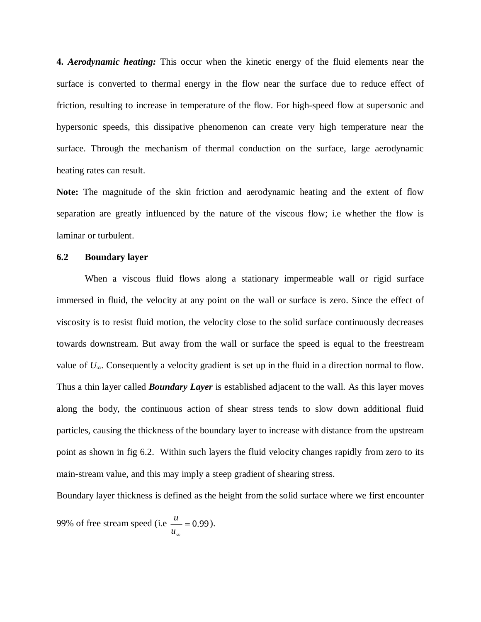**4.** *Aerodynamic heating:* This occur when the kinetic energy of the fluid elements near the surface is converted to thermal energy in the flow near the surface due to reduce effect of friction, resulting to increase in temperature of the flow. For high-speed flow at supersonic and hypersonic speeds, this dissipative phenomenon can create very high temperature near the surface. Through the mechanism of thermal conduction on the surface, large aerodynamic heating rates can result.

**Note:** The magnitude of the skin friction and aerodynamic heating and the extent of flow separation are greatly influenced by the nature of the viscous flow; i.e whether the flow is laminar or turbulent.

### **6.2 Boundary layer**

When a viscous fluid flows along a stationary impermeable wall or rigid surface immersed in fluid, the velocity at any point on the wall or surface is zero. Since the effect of viscosity is to resist fluid motion, the velocity close to the solid surface continuously decreases towards downstream. But away from the wall or surface the speed is equal to the freestream value of *U*∞. Consequently a velocity gradient is set up in the fluid in a direction normal to flow. Thus a thin layer called *Boundary Layer* is established adjacent to the wall. As this layer moves along the body, the continuous action of shear stress tends to slow down additional fluid particles, causing the thickness of the boundary layer to increase with distance from the upstream point as shown in fig 6.2. Within such layers the fluid velocity changes rapidly from zero to its main-stream value, and this may imply a steep gradient of shearing stress.

Boundary layer thickness is defined as the height from the solid surface where we first encounter

99% of free stream speed (i.e  $\frac{u}{m} = 0.99$ *u*  $\frac{u}{x} = 0.99$ .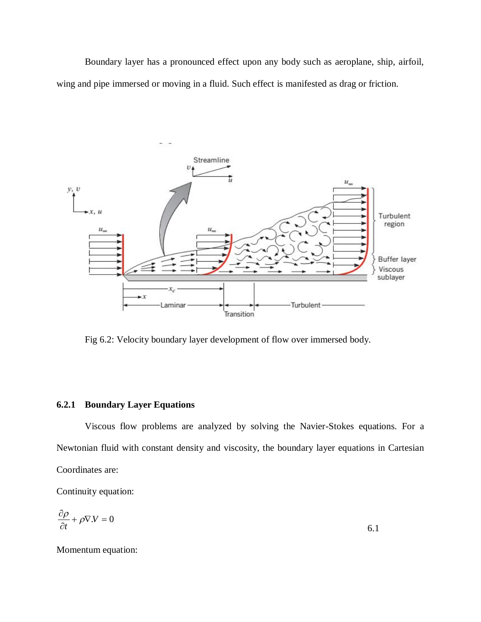Boundary layer has a pronounced effect upon any body such as aeroplane, ship, airfoil, wing and pipe immersed or moving in a fluid. Such effect is manifested as drag or friction.



Fig 6.2: Velocity boundary layer development of flow over immersed body.

## **6.2.1 Boundary Layer Equations**

Viscous flow problems are analyzed by solving the Navier-Stokes equations. For a Newtonian fluid with constant density and viscosity, the boundary layer equations in Cartesian Coordinates are:

Continuity equation:

$$
\frac{\partial \rho}{\partial t} + \rho \nabla \cdot V = 0 \tag{6.1}
$$

Momentum equation: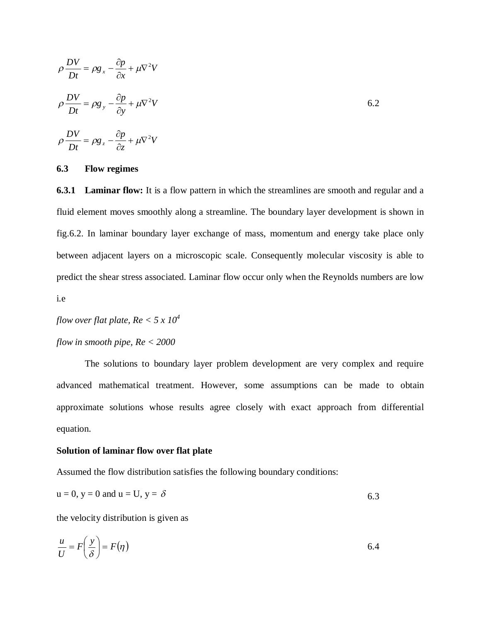$$
\rho \frac{DV}{Dt} = \rho g_x - \frac{\partial p}{\partial x} + \mu \nabla^2 V
$$
  

$$
\rho \frac{DV}{Dt} = \rho g_y - \frac{\partial p}{\partial y} + \mu \nabla^2 V
$$
  

$$
\rho \frac{DV}{Dt} = \rho g_z - \frac{\partial p}{\partial z} + \mu \nabla^2 V
$$

### **6.3 Flow regimes**

**6.3.1 Laminar flow:** It is a flow pattern in which the streamlines are smooth and regular and a fluid element moves smoothly along a streamline. The boundary layer development is shown in fig.6.2. In laminar boundary layer exchange of mass, momentum and energy take place only between adjacent layers on a microscopic scale. Consequently molecular viscosity is able to predict the shear stress associated. Laminar flow occur only when the Reynolds numbers are low i.e

*flow over flat plate,*  $Re < 5 \times 10^4$ 

# *flow in smooth pipe, Re < 2000*

The solutions to boundary layer problem development are very complex and require advanced mathematical treatment. However, some assumptions can be made to obtain approximate solutions whose results agree closely with exact approach from differential equation.

### **Solution of laminar flow over flat plate**

Assumed the flow distribution satisfies the following boundary conditions:

$$
u = 0, y = 0 \text{ and } u = U, y = \delta
$$

the velocity distribution is given as

$$
\frac{u}{U} = F\left(\frac{y}{\delta}\right) = F(\eta) \tag{6.4}
$$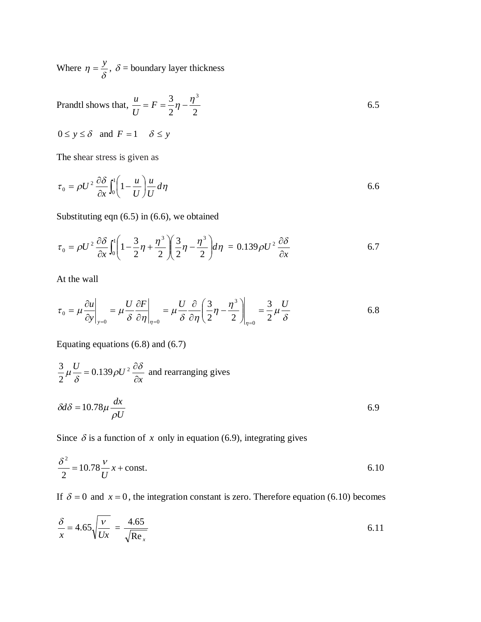Where  $\eta = \frac{y}{\delta}$ ,  $\delta$  = boundary layer thickness

Prandtl shows that, 2 2  $= F = \frac{3}{2}\eta - \frac{\eta^3}{2}$ *U u*

$$
0 \le y \le \delta
$$
 and  $F = 1$   $\delta \le y$ 

The shear stress is given as

$$
\tau_0 = \rho U^2 \frac{\partial \delta}{\partial x} \int_0^1 \left( 1 - \frac{u}{U} \right) \frac{u}{U} d\eta
$$

6.5

Substituting eqn (6.5) in (6.6), we obtained

$$
\tau_0 = \rho U^2 \frac{\partial \delta}{\partial x} \int_0^1 \left( 1 - \frac{3}{2} \eta + \frac{\eta^3}{2} \right) \left( \frac{3}{2} \eta - \frac{\eta^3}{2} \right) d\eta = 0.139 \rho U^2 \frac{\partial \delta}{\partial x}
$$

At the wall

$$
\tau_0 = \mu \frac{\partial u}{\partial y}\bigg|_{y=0} = \mu \frac{U}{\delta} \frac{\partial F}{\partial \eta}\bigg|_{\eta=0} = \mu \frac{U}{\delta} \frac{\partial}{\partial \eta} \left(\frac{3}{2}\eta - \frac{\eta^3}{2}\right)\bigg|_{\eta=0} = \frac{3}{2}\mu \frac{U}{\delta}
$$

Equating equations (6.8) and (6.7)

$$
\frac{3}{2}\mu\frac{U}{\delta} = 0.139\rho U^2 \frac{\partial \delta}{\partial x}
$$
 and rearranging gives  

$$
\delta d\delta = 10.78\mu \frac{dx}{\rho U}
$$

Since  $\delta$  is a function of *x* only in equation (6.9), integrating gives

$$
\frac{\delta^2}{2} = 10.78 \frac{v}{U} x + \text{const.}
$$

If  $\delta = 0$  and  $x = 0$ , the integration constant is zero. Therefore equation (6.10) becomes

$$
\frac{\delta}{x} = 4.65 \sqrt{\frac{v}{Ux}} = \frac{4.65}{\sqrt{\text{Re}_x}}
$$
\n(6.11)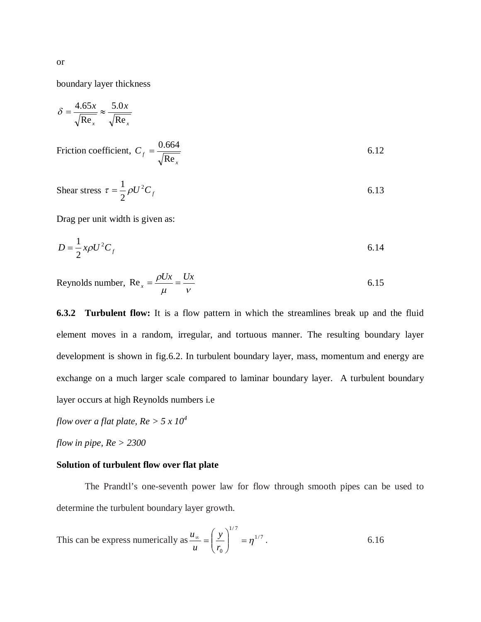boundary layer thickness

$$
\delta = \frac{4.65x}{\sqrt{\text{Re}_x}} \approx \frac{5.0x}{\sqrt{\text{Re}_x}}
$$

Friction coefficient, *x*  $C$ <sup>*f*</sup> Re  $=\frac{0.664}{\sqrt{2}}$  6.12

Shear stress 
$$
\tau = \frac{1}{2} \rho U^2 C_f
$$
 6.13

Drag per unit width is given as:

$$
D = \frac{1}{2}x\rho U^2 C_f
$$
6.14

Reynolds number,  $Re_x = \frac{\rho Ux}{\mu} = \frac{Ux}{v}$  6.15

**6.3.2 Turbulent flow:** It is a flow pattern in which the streamlines break up and the fluid element moves in a random, irregular, and tortuous manner. The resulting boundary layer development is shown in fig.6.2. In turbulent boundary layer, mass, momentum and energy are exchange on a much larger scale compared to laminar boundary layer. A turbulent boundary layer occurs at high Reynolds numbers i.e

*flow over a flat plate, Re > 5 x 10<sup>4</sup>*

*flow in pipe, Re > 2300*

### **Solution of turbulent flow over flat plate**

The Prandtl's one-seventh power law for flow through smooth pipes can be used to determine the turbulent boundary layer growth.

This can be express numerically as 
$$
\frac{u_{\infty}}{u} = \left(\frac{y}{r_0}\right)^{1/7} = \eta^{1/7}
$$
.

or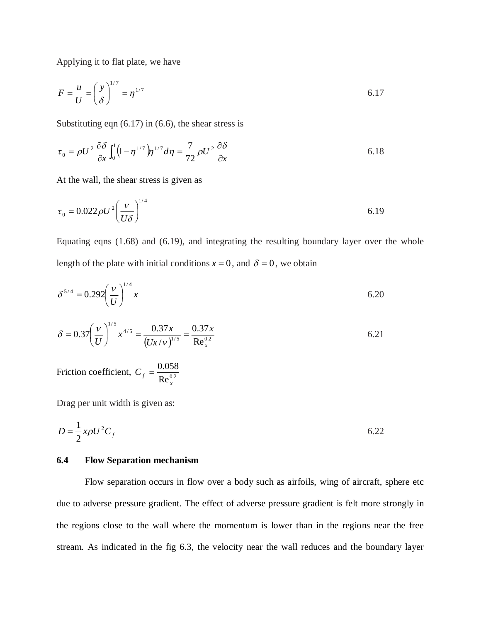Applying it to flat plate, we have

$$
F = \frac{u}{U} = \left(\frac{y}{\delta}\right)^{1/7} = \eta^{1/7}
$$

Substituting eqn  $(6.17)$  in  $(6.6)$ , the shear stress is

$$
\tau_0 = \rho U^2 \frac{\partial \delta}{\partial x} \int_0^1 \left( 1 - \eta^{1/7} \right) \eta^{1/7} d\eta = \frac{7}{72} \rho U^2 \frac{\partial \delta}{\partial x}
$$

At the wall, the shear stress is given as

$$
\tau_0 = 0.022 \rho U^2 \left(\frac{v}{U\delta}\right)^{1/4} \tag{6.19}
$$

Equating eqns (1.68) and (6.19), and integrating the resulting boundary layer over the whole length of the plate with initial conditions  $x = 0$ , and  $\delta = 0$ , we obtain

$$
\delta^{5/4} = 0.292 \left(\frac{v}{U}\right)^{1/4} x \tag{6.20}
$$

$$
\delta = 0.37 \left(\frac{v}{U}\right)^{1/5} x^{4/5} = \frac{0.37x}{\left(Ux/v\right)^{1/5}} = \frac{0.37x}{\text{Re}_x^{0.2}}
$$

Friction coefficient,  $C_f = \frac{0.058}{\text{Re}_x^{0.2}}$ *x*  $C_f =$ 

Drag per unit width is given as:

$$
D = \frac{1}{2}x\rho U^2 C_f
$$
6.22

## **6.4 Flow Separation mechanism**

Flow separation occurs in flow over a body such as airfoils, wing of aircraft, sphere etc due to adverse pressure gradient. The effect of adverse pressure gradient is felt more strongly in the regions close to the wall where the momentum is lower than in the regions near the free stream. As indicated in the fig 6.3, the velocity near the wall reduces and the boundary layer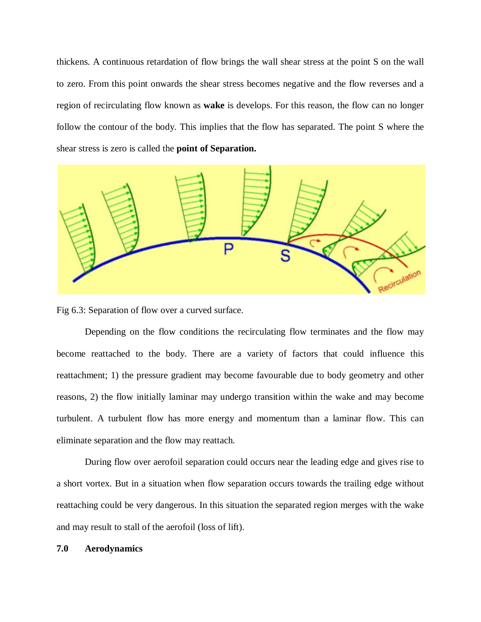thickens. A continuous retardation of flow brings the wall shear stress at the point S on the wall to zero. From this point onwards the shear stress becomes negative and the flow reverses and a region of recirculating flow known as **wake** is develops. For this reason, the flow can no longer follow the contour of the body. This implies that the flow has separated. The point S where the shear stress is zero is called the **point of Separation.**



Fig 6.3: Separation of flow over a curved surface.

Depending on the flow conditions the recirculating flow terminates and the flow may become reattached to the body. There are a variety of factors that could influence this reattachment; 1) the pressure gradient may become favourable due to body geometry and other reasons, 2) the flow initially laminar may undergo transition within the wake and may become turbulent. A turbulent flow has more energy and momentum than a laminar flow. This can eliminate separation and the flow may reattach.

During flow over aerofoil separation could occurs near the leading edge and gives rise to a short vortex. But in a situation when flow separation occurs towards the trailing edge without reattaching could be very dangerous. In this situation the separated region merges with the wake and may result to stall of the aerofoil (loss of lift).

## **7.0 Aerodynamics**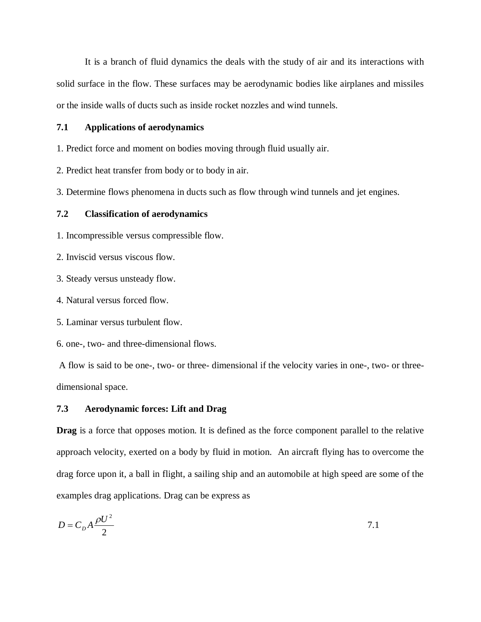It is a branch of fluid dynamics the deals with the study of air and its interactions with solid surface in the flow. These surfaces may be aerodynamic bodies like airplanes and missiles or the inside walls of ducts such as inside rocket nozzles and wind tunnels.

### **7.1 Applications of aerodynamics**

1. Predict force and moment on bodies moving through fluid usually air.

2. Predict heat transfer from body or to body in air.

3. Determine flows phenomena in ducts such as flow through wind tunnels and jet engines.

### **7.2 Classification of aerodynamics**

1. Incompressible versus compressible flow.

2. Inviscid versus viscous flow.

3. Steady versus unsteady flow.

4. Natural versus forced flow.

5. Laminar versus turbulent flow.

6. one-, two- and three-dimensional flows.

A flow is said to be one-, two- or three- dimensional if the velocity varies in one-, two- or threedimensional space.

### **7.3 Aerodynamic forces: Lift and Drag**

**Drag** is a force that opposes motion. It is defined as the force component parallel to the relative approach velocity, exerted on a body by fluid in motion. An aircraft flying has to overcome the drag force upon it, a ball in flight, a sailing ship and an automobile at high speed are some of the examples drag applications. Drag can be express as

$$
D = C_D A \frac{\rho U^2}{2} \tag{7.1}
$$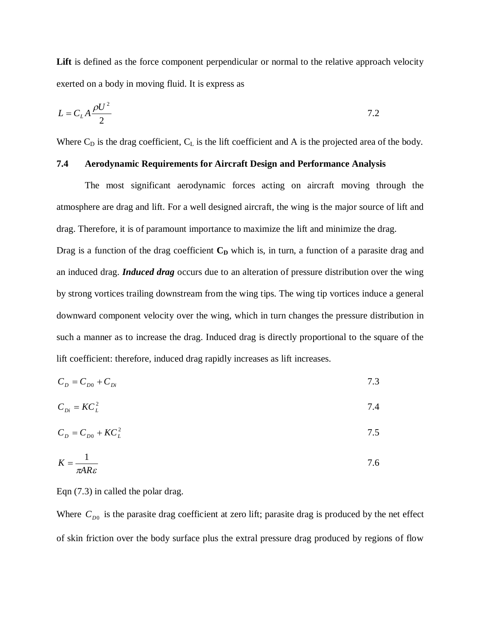**Lift** is defined as the force component perpendicular or normal to the relative approach velocity exerted on a body in moving fluid. It is express as

$$
L = C_L A \frac{\rho U^2}{2}
$$

Where  $C_D$  is the drag coefficient,  $C_L$  is the lift coefficient and A is the projected area of the body.

## **7.4 Aerodynamic Requirements for Aircraft Design and Performance Analysis**

The most significant aerodynamic forces acting on aircraft moving through the atmosphere are drag and lift. For a well designed aircraft, the wing is the major source of lift and drag. Therefore, it is of paramount importance to maximize the lift and minimize the drag.

Drag is a function of the drag coefficient  $C<sub>D</sub>$  which is, in turn, a function of a parasite drag and an induced drag. *Induced drag* occurs due to an alteration of pressure distribution over the wing by strong vortices trailing downstream from the wing tips. The wing tip vortices induce a general downward component velocity over the wing, which in turn changes the pressure distribution in such a manner as to increase the drag. Induced drag is directly proportional to the square of the lift coefficient: therefore, induced drag rapidly increases as lift increases.

$$
C_D = C_{D0} + C_{Di} \tag{7.3}
$$

$$
C_{Di} = KC_L^2 \tag{7.4}
$$

$$
C_D = C_{D0} + K C_L^2 \tag{7.5}
$$

$$
K = \frac{1}{\pi AR \varepsilon} \tag{7.6}
$$

Eqn (7.3) in called the polar drag.

Where  $C_{D0}$  is the parasite drag coefficient at zero lift; parasite drag is produced by the net effect of skin friction over the body surface plus the extral pressure drag produced by regions of flow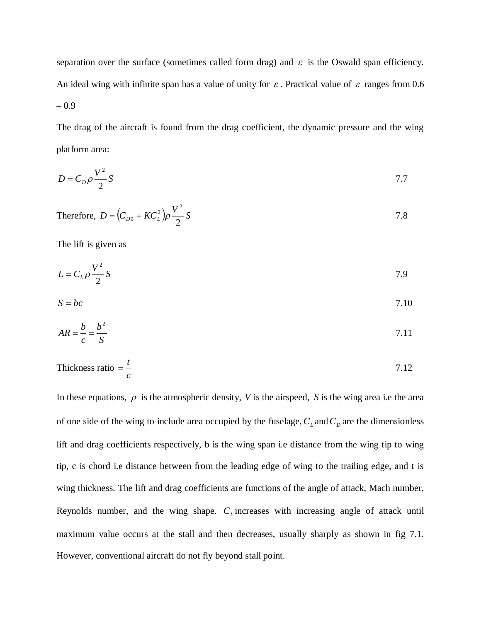separation over the surface (sometimes called form drag) and  $\varepsilon$  is the Oswald span efficiency. An ideal wing with infinite span has a value of unity for  $\varepsilon$ . Practical value of  $\varepsilon$  ranges from 0.6 – 0.9

The drag of the aircraft is found from the drag coefficient, the dynamic pressure and the wing platform area:

$$
D = C_D \rho \frac{V^2}{2} S
$$

Therefore, 
$$
D = (C_{D0} + KC_L^2)\rho \frac{V^2}{2}S
$$

The lift is given as

$$
L = C_L \rho \frac{V^2}{2} S \tag{7.9}
$$

$$
S = bc \tag{7.10}
$$

$$
AR = \frac{b}{c} = \frac{b^2}{S}
$$

$$
Thickness ratio = \frac{t}{c}
$$
\n
$$
7.12
$$

In these equations,  $\rho$  is the atmospheric density, *V* is the airspeed, *S* is the wing area i.e the area of one side of the wing to include area occupied by the fuselage,  $C<sub>L</sub>$  and  $C<sub>D</sub>$  are the dimensionless lift and drag coefficients respectively, b is the wing span i.e distance from the wing tip to wing tip, c is chord i.e distance between from the leading edge of wing to the trailing edge, and t is wing thickness. The lift and drag coefficients are functions of the angle of attack, Mach number, Reynolds number, and the wing shape.  $C_L$  increases with increasing angle of attack until maximum value occurs at the stall and then decreases, usually sharply as shown in fig 7.1. However, conventional aircraft do not fly beyond stall point.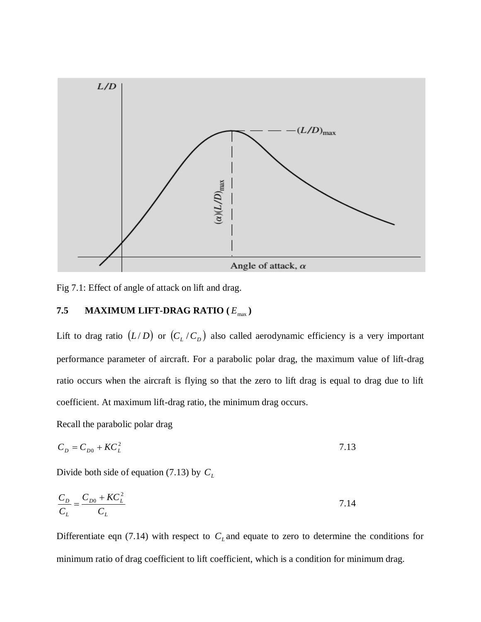

Fig 7.1: Effect of angle of attack on lift and drag.

# **7.5 MAXIMUM LIFT-DRAG RATIO**  $(E_{\text{max}})$

Lift to drag ratio  $(L/D)$  or  $(C_L/C_D)$  also called aerodynamic efficiency is a very important performance parameter of aircraft. For a parabolic polar drag, the maximum value of lift-drag ratio occurs when the aircraft is flying so that the zero to lift drag is equal to drag due to lift coefficient. At maximum lift-drag ratio, the minimum drag occurs.

Recall the parabolic polar drag

$$
C_D = C_{D0} + KC_L^2 \tag{7.13}
$$

Divide both side of equation (7.13) by *C<sup>L</sup>*

$$
\frac{C_D}{C_L} = \frac{C_{D0} + KC_L^2}{C_L}
$$

Differentiate eqn (7.14) with respect to  $C<sub>L</sub>$  and equate to zero to determine the conditions for minimum ratio of drag coefficient to lift coefficient, which is a condition for minimum drag.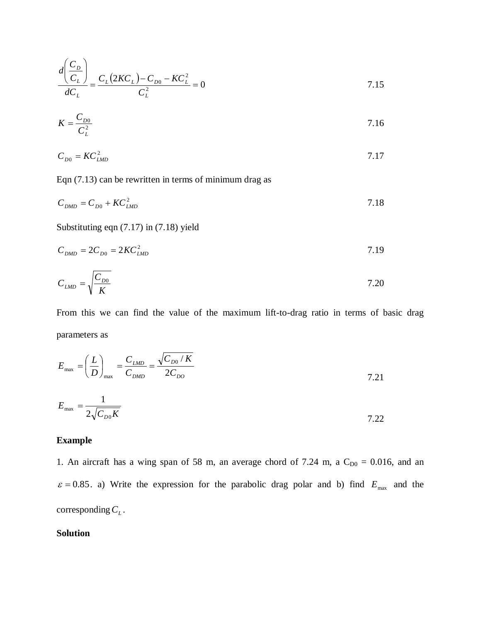$$
\frac{d\left(\frac{C_D}{C_L}\right)}{dC_L} = \frac{C_L (2KC_L) - C_{D0} - KC_L^2}{C_L^2} = 0
$$
\n7.15

$$
K = \frac{C_{D0}}{C_L^2} \tag{7.16}
$$

$$
C_{D0} = K C_{LMD}^2 \tag{7.17}
$$

Eqn (7.13) can be rewritten in terms of minimum drag as

$$
C_{\text{DMD}} = C_{\text{D0}} + K C_{\text{LMD}}^2 \tag{7.18}
$$

Substituting eqn (7.17) in (7.18) yield

$$
C_{DMD} = 2C_{D0} = 2KC_{LMD}^2 \tag{7.19}
$$

$$
C_{LMD} = \sqrt{\frac{C_{D0}}{K}}
$$

From this we can find the value of the maximum lift-to-drag ratio in terms of basic drag parameters as

$$
E_{\text{max}} = \left(\frac{L}{D}\right)_{\text{max}} = \frac{C_{\text{LMD}}}{C_{\text{DMD}}} = \frac{\sqrt{C_{\text{D0}}/K}}{2C_{\text{D0}}}
$$
\n
$$
E_{\text{max}} = \frac{1}{2\sqrt{C_{\text{D0}}K}}
$$
\n
$$
7.21
$$
\n
$$
7.22
$$

## **Example**

1. An aircraft has a wing span of 58 m, an average chord of 7.24 m, a  $C_{D0} = 0.016$ , and an  $\varepsilon = 0.85$ . a) Write the expression for the parabolic drag polar and b) find  $E_{\text{max}}$  and the corresponding*C<sup>L</sup>* .

# **Solution**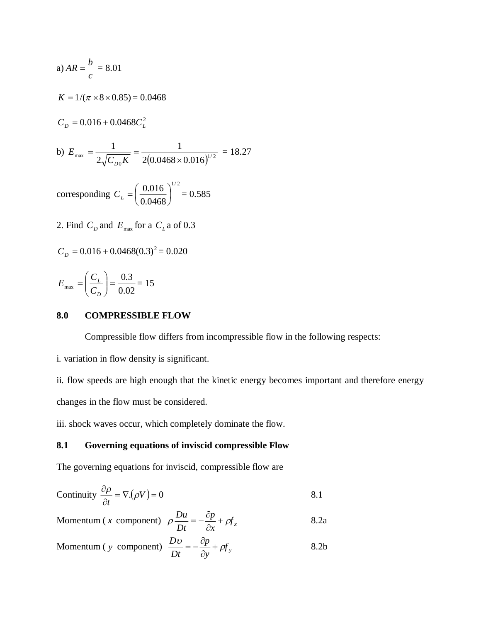a) 
$$
AR = \frac{b}{c} = 8.01
$$
  
\n $K = 1/(\pi \times 8 \times 0.85) = 0.0468$   
\n $C_D = 0.016 + 0.0468 C_L^2$   
\nb)  $E_{\text{max}} = \frac{1}{2\sqrt{C_{D0}K}} = \frac{1}{2(0.0468 \times 0.016)^{1/2}} = 18.27$   
\ncorresponding  $C_L = \left(\frac{0.016}{0.0468}\right)^{1/2} = 0.585$ 

0.0468 J  $\setminus$ 

2. Find  $C_D$  and  $E_{\text{max}}$  for a  $C_L$  a of 0.3

$$
C_p = 0.016 + 0.0468(0.3)^2 = 0.020
$$

$$
E_{\text{max}} = \left(\frac{C_L}{C_D}\right) = \frac{0.3}{0.02} = 15
$$

## **8.0 COMPRESSIBLE FLOW**

Compressible flow differs from incompressible flow in the following respects:

i. variation in flow density is significant.

ii. flow speeds are high enough that the kinetic energy becomes important and therefore energy changes in the flow must be considered.

iii. shock waves occur, which completely dominate the flow.

## **8.1 Governing equations of inviscid compressible Flow**

The governing equations for inviscid, compressible flow are

Continuity 
$$
\frac{\partial \rho}{\partial t} = \nabla \cdot (\rho V) = 0
$$
 8.1

Momentum (*x* component)  $\rho \frac{Bu}{D} = -\frac{c_p}{2} + \rho f_x$ *x p Dt*  $\rho \frac{Du}{D} = -\frac{\partial p}{\partial x} + \rho y$  $\partial$  $=-\frac{\partial p}{\partial x} + \rho f_x$  8.2a

$$
Momentum (y component) \frac{Dv}{Dt} = -\frac{\partial p}{\partial y} + \rho f_y \tag{8.2b}
$$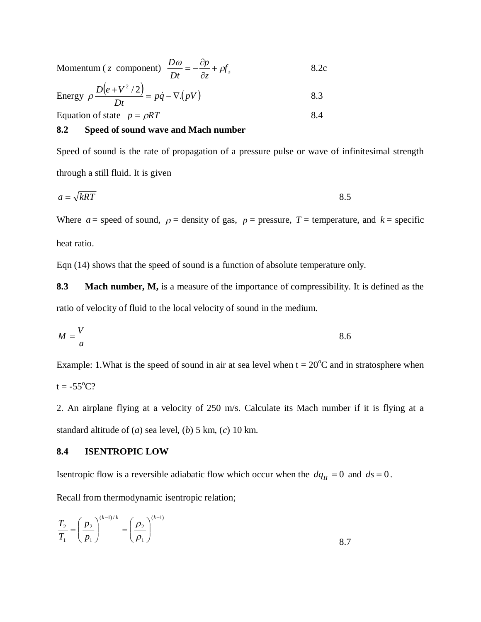Momentum (*z* component)  $\frac{D\omega}{Dt} = -\frac{dp}{2} + \rho f_z$ *z p Dt*  $\frac{D\omega}{\rho} = -\frac{\partial p}{\partial} + \rho$  $\partial$  $=-\frac{\partial p}{\partial t} + \rho f$ , 8.2c

Energy 
$$
\rho \frac{D(e + V^2 / 2)}{Dt} = p\dot{q} - \nabla (pV)
$$
 8.3

Equation of state  $p = \rho RT$  8.4

**8.2 Speed of sound wave and Mach number**

Speed of sound is the rate of propagation of a pressure pulse or wave of infinitesimal strength through a still fluid. It is given

$$
a = \sqrt{kRT} \tag{8.5}
$$

Where  $a =$  speed of sound,  $\rho =$  density of gas,  $p =$  pressure,  $T =$  temperature, and  $k =$  specific heat ratio.

Eqn (14) shows that the speed of sound is a function of absolute temperature only.

**8.3 Mach number, M,** is a measure of the importance of compressibility. It is defined as the ratio of velocity of fluid to the local velocity of sound in the medium.

$$
M = \frac{V}{a}
$$
 8.6

Example: 1. What is the speed of sound in air at sea level when  $t = 20^{\circ}$ C and in stratosphere when  $t = -55^{\circ}C$ ?

2. An airplane flying at a velocity of 250 m/s. Calculate its Mach number if it is flying at a standard altitude of (*a*) sea level, (*b*) 5 km, (*c*) 10 km.

## **8.4 ISENTROPIC LOW**

Isentropic flow is a reversible adiabatic flow which occur when the  $dq_H = 0$  and  $ds = 0$ .

Recall from thermodynamic isentropic relation;

$$
\frac{T_2}{T_1} = \left(\frac{p_2}{p_1}\right)^{(k-1)/k} = \left(\frac{\rho_2}{\rho_1}\right)^{(k-1)}
$$
8.7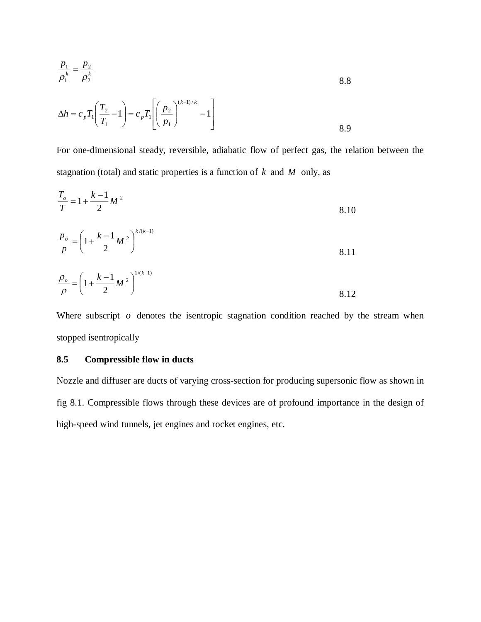$$
\frac{p_1}{\rho_1^k} = \frac{p_2}{\rho_2^k}
$$
8.8

$$
\Delta h = c_p T_1 \left( \frac{T_2}{T_1} - 1 \right) = c_p T_1 \left[ \left( \frac{p_2}{p_1} \right)^{(k-1)/k} - 1 \right]
$$

For one-dimensional steady, reversible, adiabatic flow of perfect gas, the relation between the stagnation (total) and static properties is a function of *k* and *M* only, as

$$
\frac{T_o}{T} = 1 + \frac{k-1}{2}M^2
$$
 8.10

$$
\frac{p_o}{p} = \left(1 + \frac{k-1}{2}M^2\right)^{k/(k-1)}
$$
8.11

$$
\frac{\rho_o}{\rho} = \left(1 + \frac{k-1}{2}M^2\right)^{1/(k-1)}
$$
8.12

Where subscript *o* denotes the isentropic stagnation condition reached by the stream when stopped isentropically

## **8.5 Compressible flow in ducts**

Nozzle and diffuser are ducts of varying cross-section for producing supersonic flow as shown in fig 8.1. Compressible flows through these devices are of profound importance in the design of high-speed wind tunnels, jet engines and rocket engines, etc.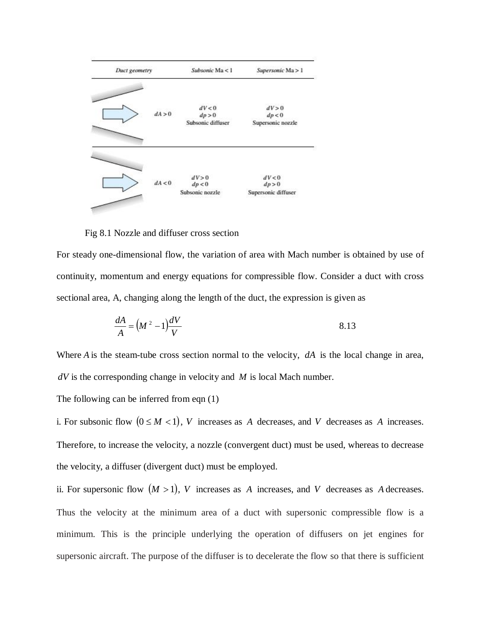

Fig 8.1 Nozzle and diffuser cross section

For steady one-dimensional flow, the variation of area with Mach number is obtained by use of continuity, momentum and energy equations for compressible flow. Consider a duct with cross sectional area, A, changing along the length of the duct, the expression is given as

$$
\frac{dA}{A} = \left(M^2 - 1\right)\frac{dV}{V}
$$
8.13

Where *A* is the steam-tube cross section normal to the velocity, *dA* is the local change in area, *dV* is the corresponding change in velocity and *M* is local Mach number.

The following can be inferred from eqn (1)

i. For subsonic flow  $(0 \le M < 1)$ , *V* increases as *A* decreases, and *V* decreases as *A* increases. Therefore, to increase the velocity, a nozzle (convergent duct) must be used, whereas to decrease the velocity, a diffuser (divergent duct) must be employed.

ii. For supersonic flow  $(M > 1)$ , *V* increases as *A* increases, and *V* decreases as *A* decreases. Thus the velocity at the minimum area of a duct with supersonic compressible flow is a minimum. This is the principle underlying the operation of diffusers on jet engines for supersonic aircraft. The purpose of the diffuser is to decelerate the flow so that there is sufficient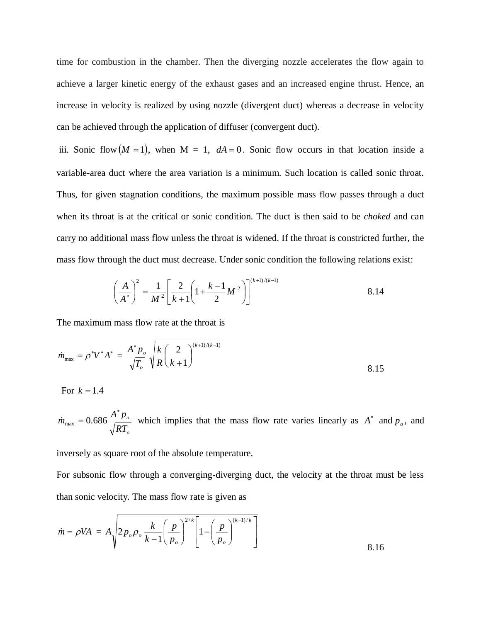time for combustion in the chamber. Then the diverging nozzle accelerates the flow again to achieve a larger kinetic energy of the exhaust gases and an increased engine thrust. Hence, an increase in velocity is realized by using nozzle (divergent duct) whereas a decrease in velocity can be achieved through the application of diffuser (convergent duct).

iii. Sonic flow  $(M = 1)$ , when  $M = 1$ ,  $dA = 0$ . Sonic flow occurs in that location inside a variable-area duct where the area variation is a minimum. Such location is called sonic throat. Thus, for given stagnation conditions, the maximum possible mass flow passes through a duct when its throat is at the critical or sonic condition. The duct is then said to be *choked* and can carry no additional mass flow unless the throat is widened. If the throat is constricted further, the mass flow through the duct must decrease. Under sonic condition the following relations exist:

$$
\left(\frac{A}{A^*}\right)^2 = \frac{1}{M^2} \left[\frac{2}{k+1} \left(1 + \frac{k-1}{2} M^2\right)\right]^{(k+1)/(k-1)}
$$
8.14

The maximum mass flow rate at the throat is

$$
\dot{m}_{\text{max}} = \rho^* V^* A^* = \frac{A^* p_o}{\sqrt{T_o}} \sqrt{\frac{k}{R} \left(\frac{2}{k+1}\right)^{(k+1)/(k-1)}}
$$
8.15

For  $k = 1.4$ 

*o o RT*  $\dot{m}_{\rm max} = 0.686 \frac{A^* p}{\sqrt{2}}$  $\dot{m}_{\text{max}} = 0.686 \frac{A^* p_o}{\sqrt{RT}}$  which implies that the mass flow rate varies linearly as  $A^*$  and  $p_o$ , and

inversely as square root of the absolute temperature.

For subsonic flow through a converging-diverging duct, the velocity at the throat must be less than sonic velocity. The mass flow rate is given as

$$
\dot{m} = \rho V A = A \sqrt{2 p_o \rho_o \frac{k}{k-1} \left(\frac{p}{p_o}\right)^{2/k} \left[1 - \left(\frac{p}{p_o}\right)^{(k-1)/k}\right]}
$$
8.16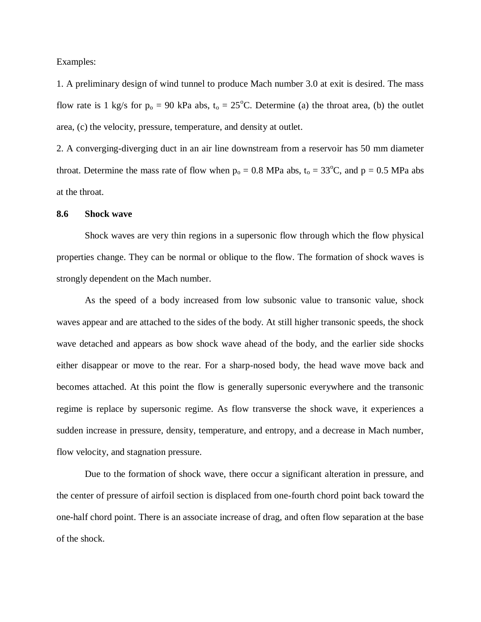Examples:

1. A preliminary design of wind tunnel to produce Mach number 3.0 at exit is desired. The mass flow rate is 1 kg/s for  $p_0 = 90$  kPa abs,  $t_0 = 25$ °C. Determine (a) the throat area, (b) the outlet area, (c) the velocity, pressure, temperature, and density at outlet.

2. A converging-diverging duct in an air line downstream from a reservoir has 50 mm diameter throat. Determine the mass rate of flow when  $p_0 = 0.8$  MPa abs,  $t_0 = 33^{\circ}$ C, and  $p = 0.5$  MPa abs at the throat.

### **8.6 Shock wave**

Shock waves are very thin regions in a supersonic flow through which the flow physical properties change. They can be normal or oblique to the flow. The formation of shock waves is strongly dependent on the Mach number.

As the speed of a body increased from low subsonic value to transonic value, shock waves appear and are attached to the sides of the body. At still higher transonic speeds, the shock wave detached and appears as bow shock wave ahead of the body, and the earlier side shocks either disappear or move to the rear. For a sharp-nosed body, the head wave move back and becomes attached. At this point the flow is generally supersonic everywhere and the transonic regime is replace by supersonic regime. As flow transverse the shock wave, it experiences a sudden increase in pressure, density, temperature, and entropy, and a decrease in Mach number, flow velocity, and stagnation pressure.

Due to the formation of shock wave, there occur a significant alteration in pressure, and the center of pressure of airfoil section is displaced from one-fourth chord point back toward the one-half chord point. There is an associate increase of drag, and often flow separation at the base of the shock.